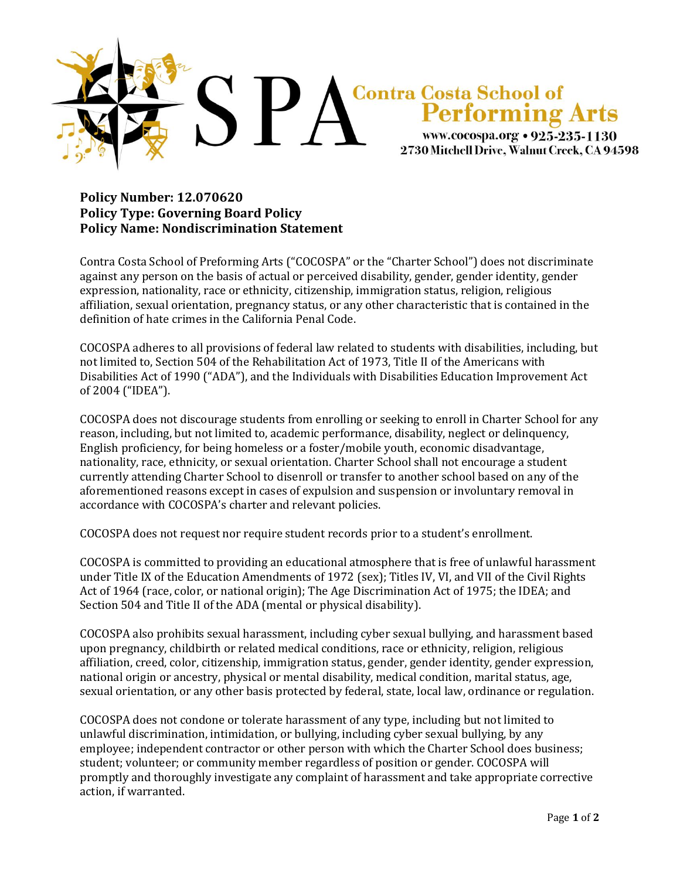

## **Policy Number: 12.070620 Policy Type: Governing Board Policy Policy Name: Nondiscrimination Statement**

Contra Costa School of Preforming Arts ("COCOSPA" or the "Charter School") does not discriminate against any person on the basis of actual or perceived disability, gender, gender identity, gender expression, nationality, race or ethnicity, citizenship, immigration status, religion, religious affiliation, sexual orientation, pregnancy status, or any other characteristic that is contained in the definition of hate crimes in the California Penal Code.

COCOSPA adheres to all provisions of federal law related to students with disabilities, including, but not limited to, Section 504 of the Rehabilitation Act of 1973, Title II of the Americans with Disabilities Act of 1990 ("ADA"), and the Individuals with Disabilities Education Improvement Act of 2004 ("IDEA").

COCOSPA does not discourage students from enrolling or seeking to enroll in Charter School for any reason, including, but not limited to, academic performance, disability, neglect or delinquency, English proficiency, for being homeless or a foster/mobile youth, economic disadvantage, nationality, race, ethnicity, or sexual orientation. Charter School shall not encourage a student currently attending Charter School to disenroll or transfer to another school based on any of the aforementioned reasons except in cases of expulsion and suspension or involuntary removal in accordance with COCOSPA's charter and relevant policies.

COCOSPA does not request nor require student records prior to a student's enrollment.

COCOSPA is committed to providing an educational atmosphere that is free of unlawful harassment under Title IX of the Education Amendments of 1972 (sex); Titles IV, VI, and VII of the Civil Rights Act of 1964 (race, color, or national origin); The Age Discrimination Act of 1975; the IDEA; and Section 504 and Title II of the ADA (mental or physical disability).

COCOSPA also prohibits sexual harassment, including cyber sexual bullying, and harassment based upon pregnancy, childbirth or related medical conditions, race or ethnicity, religion, religious affiliation, creed, color, citizenship, immigration status, gender, gender identity, gender expression, national origin or ancestry, physical or mental disability, medical condition, marital status, age, sexual orientation, or any other basis protected by federal, state, local law, ordinance or regulation.

COCOSPA does not condone or tolerate harassment of any type, including but not limited to unlawful discrimination, intimidation, or bullying, including cyber sexual bullying, by any employee; independent contractor or other person with which the Charter School does business; student; volunteer; or community member regardless of position or gender. COCOSPA will promptly and thoroughly investigate any complaint of harassment and take appropriate corrective action, if warranted.